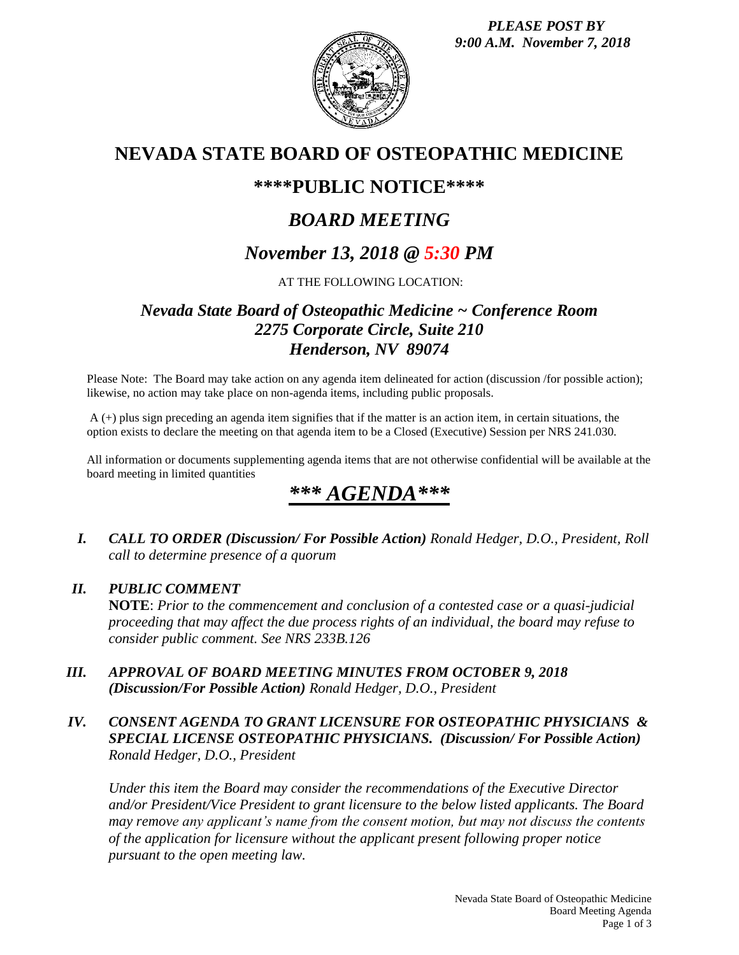

## **NEVADA STATE BOARD OF OSTEOPATHIC MEDICINE**

### **\*\*\*\*PUBLIC NOTICE\*\*\*\***

# *BOARD MEETING*

## *November 13, 2018 @ 5:30 PM*

#### AT THE FOLLOWING LOCATION:

### *Nevada State Board of Osteopathic Medicine ~ Conference Room 2275 Corporate Circle, Suite 210 Henderson, NV 89074*

Please Note: The Board may take action on any agenda item delineated for action (discussion /for possible action); likewise, no action may take place on non-agenda items, including public proposals.

A (+) plus sign preceding an agenda item signifies that if the matter is an action item, in certain situations, the option exists to declare the meeting on that agenda item to be a Closed (Executive) Session per NRS 241.030.

All information or documents supplementing agenda items that are not otherwise confidential will be available at the board meeting in limited quantities

# *\*\*\* AGENDA\*\*\**

*I. CALL TO ORDER (Discussion/ For Possible Action) Ronald Hedger, D.O., President, Roll call to determine presence of a quorum*

#### *II. PUBLIC COMMENT*

**NOTE**: *Prior to the commencement and conclusion of a contested case or a quasi-judicial proceeding that may affect the due process rights of an individual, the board may refuse to consider public comment. See NRS 233B.126*

*III. APPROVAL OF BOARD MEETING MINUTES FROM OCTOBER 9, 2018 (Discussion/For Possible Action) Ronald Hedger, D.O., President*

#### *IV. CONSENT AGENDA TO GRANT LICENSURE FOR OSTEOPATHIC PHYSICIANS & SPECIAL LICENSE OSTEOPATHIC PHYSICIANS. (Discussion/ For Possible Action) Ronald Hedger, D.O., President*

*Under this item the Board may consider the recommendations of the Executive Director and/or President/Vice President to grant licensure to the below listed applicants. The Board may remove any applicant's name from the consent motion, but may not discuss the contents of the application for licensure without the applicant present following proper notice pursuant to the open meeting law.*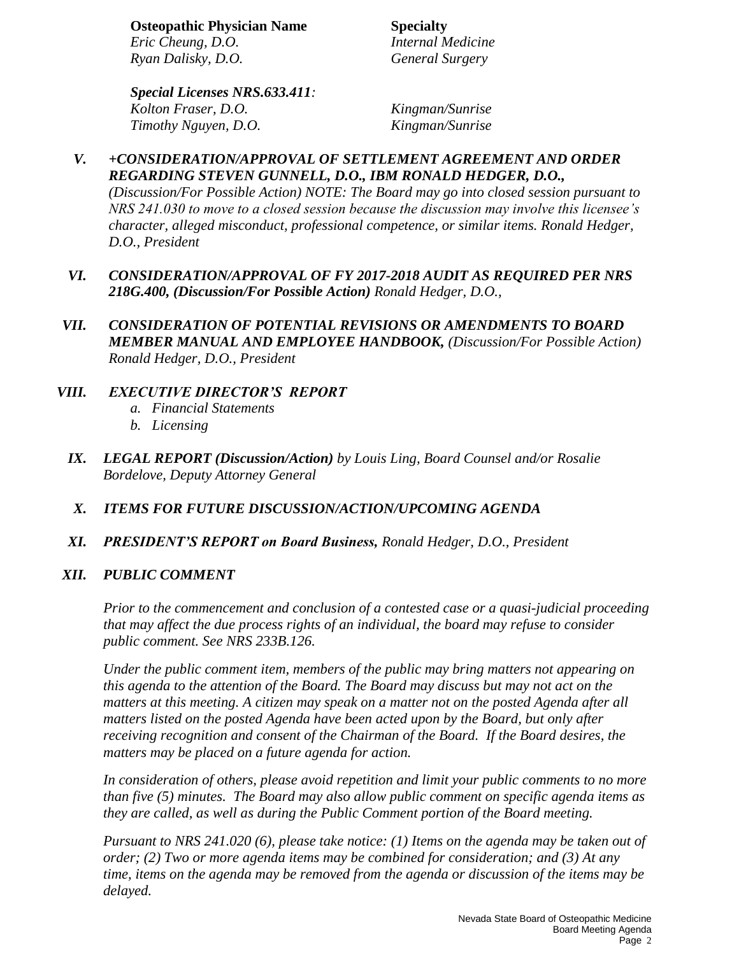**Osteopathic Physician Name Specialty** *Eric Cheung, D.O. Internal Medicine Ryan Dalisky, D.O. General Surgery*

*Special Licenses NRS.633.411: Kolton Fraser, D.O. Kingman/Sunrise Timothy Nguyen, D.O. Kingman/Sunrise*

#### *V. +CONSIDERATION/APPROVAL OF SETTLEMENT AGREEMENT AND ORDER REGARDING STEVEN GUNNELL, D.O., IBM RONALD HEDGER, D.O.,*

*(Discussion/For Possible Action) NOTE: The Board may go into closed session pursuant to NRS 241.030 to move to a closed session because the discussion may involve this licensee's character, alleged misconduct, professional competence, or similar items. Ronald Hedger, D.O., President*

- *VI. CONSIDERATION/APPROVAL OF FY 2017-2018 AUDIT AS REQUIRED PER NRS 218G.400, (Discussion/For Possible Action) Ronald Hedger, D.O.,*
- *VII. CONSIDERATION OF POTENTIAL REVISIONS OR AMENDMENTS TO BOARD MEMBER MANUAL AND EMPLOYEE HANDBOOK, (Discussion/For Possible Action) Ronald Hedger, D.O., President*

#### *VIII. EXECUTIVE DIRECTOR'S REPORT*

- *a. Financial Statements*
- *b. Licensing*
- *IX. LEGAL REPORT (Discussion/Action) by Louis Ling, Board Counsel and/or Rosalie Bordelove, Deputy Attorney General*

#### *X. ITEMS FOR FUTURE DISCUSSION/ACTION/UPCOMING AGENDA*

*XI. PRESIDENT'S REPORT on Board Business, Ronald Hedger, D.O., President*

#### *XII. PUBLIC COMMENT*

*Prior to the commencement and conclusion of a contested case or a quasi-judicial proceeding that may affect the due process rights of an individual, the board may refuse to consider public comment. See NRS 233B.126.*

*Under the public comment item, members of the public may bring matters not appearing on this agenda to the attention of the Board. The Board may discuss but may not act on the matters at this meeting. A citizen may speak on a matter not on the posted Agenda after all matters listed on the posted Agenda have been acted upon by the Board, but only after receiving recognition and consent of the Chairman of the Board. If the Board desires, the matters may be placed on a future agenda for action.*

*In consideration of others, please avoid repetition and limit your public comments to no more than five (5) minutes. The Board may also allow public comment on specific agenda items as they are called, as well as during the Public Comment portion of the Board meeting.* 

*Pursuant to NRS 241.020 (6), please take notice: (1) Items on the agenda may be taken out of order; (2) Two or more agenda items may be combined for consideration; and (3) At any time, items on the agenda may be removed from the agenda or discussion of the items may be delayed.*